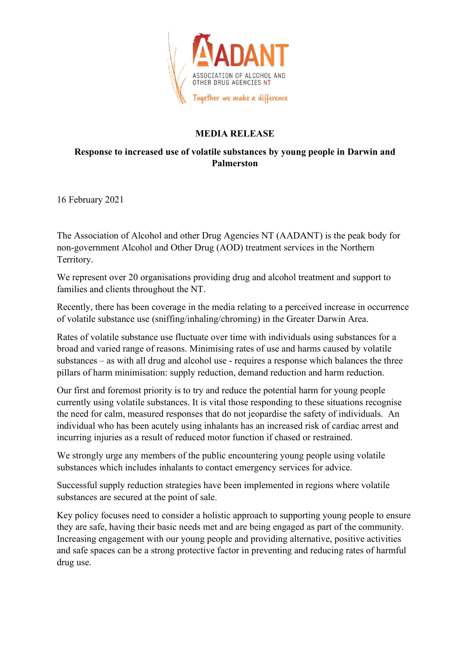

## **MEDIA RELEASE**

## **Response to increased use of volatile substances by young people in Darwin and Palmerston**

16 February 2021

The Association of Alcohol and other Drug Agencies NT (AADANT) is the peak body for non-government Alcohol and Other Drug (AOD) treatment services in the Northern Territory.

We represent over 20 organisations providing drug and alcohol treatment and support to families and clients throughout the NT.

Recently, there has been coverage in the media relating to a perceived increase in occurrence of volatile substance use (sniffing/inhaling/chroming) in the Greater Darwin Area.

Rates of volatile substance use fluctuate over time with individuals using substances for a broad and varied range of reasons. Minimising rates of use and harms caused by volatile substances – as with all drug and alcohol use - requires a response which balances the three pillars of harm minimisation: supply reduction, demand reduction and harm reduction.

Our first and foremost priority is to try and reduce the potential harm for young people currently using volatile substances. It is vital those responding to these situations recognise the need for calm, measured responses that do not jeopardise the safety of individuals. An individual who has been acutely using inhalants has an increased risk of cardiac arrest and incurring injuries as a result of reduced motor function if chased or restrained.

We strongly urge any members of the public encountering young people using volatile substances which includes inhalants to contact emergency services for advice.

Successful supply reduction strategies have been implemented in regions where volatile substances are secured at the point of sale.

Key policy focuses need to consider a holistic approach to supporting young people to ensure they are safe, having their basic needs met and are being engaged as part of the community. Increasing engagement with our young people and providing alternative, positive activities and safe spaces can be a strong protective factor in preventing and reducing rates of harmful drug use.